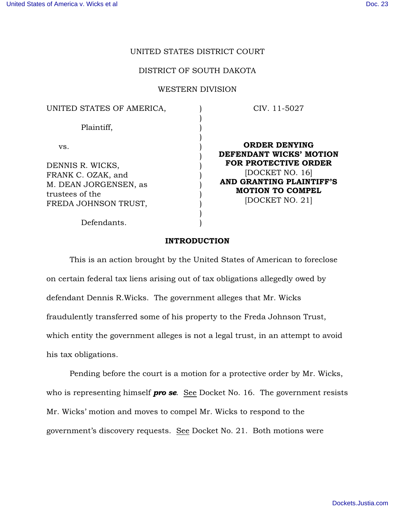# UNITED STATES DISTRICT COURT

#### DISTRICT OF SOUTH DAKOTA

#### WESTERN DIVISION

) ) ) ) ) ) ) ) ) ) ) ) )

#### UNITED STATES OF AMERICA,

Plaintiff,

vs.

DENNIS R. WICKS, FRANK C. OZAK, and M. DEAN JORGENSEN, as trustees of the FREDA JOHNSON TRUST,

Defendants.

CIV. 11-5027

ORDER DENYING DEFENDANT WICKS' MOTION FOR PROTECTIVE ORDER [DOCKET NO. 16] AND GRANTING PLAINTIFF'S MOTION TO COMPEL [DOCKET NO. 21]

## INTRODUCTION

This is an action brought by the United States of American to foreclose on certain federal tax liens arising out of tax obligations allegedly owed by defendant Dennis R.Wicks. The government alleges that Mr. Wicks fraudulently transferred some of his property to the Freda Johnson Trust, which entity the government alleges is not a legal trust, in an attempt to avoid his tax obligations.

Pending before the court is a motion for a protective order by Mr. Wicks, who is representing himself **pro se**. See Docket No. 16. The government resists Mr. Wicks' motion and moves to compel Mr. Wicks to respond to the government's discovery requests. See Docket No. 21. Both motions were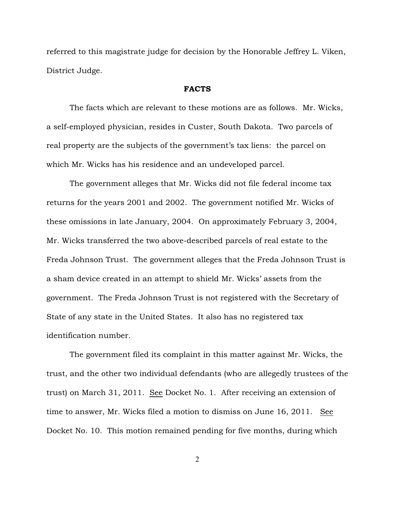referred to this magistrate judge for decision by the Honorable Jeffrey L. Viken, District Judge.

### FACTS

The facts which are relevant to these motions are as follows. Mr. Wicks, a self-employed physician, resides in Custer, South Dakota. Two parcels of real property are the subjects of the government's tax liens: the parcel on which Mr. Wicks has his residence and an undeveloped parcel.

The government alleges that Mr. Wicks did not file federal income tax returns for the years 2001 and 2002. The government notified Mr. Wicks of these omissions in late January, 2004. On approximately February 3, 2004, Mr. Wicks transferred the two above-described parcels of real estate to the Freda Johnson Trust. The government alleges that the Freda Johnson Trust is a sham device created in an attempt to shield Mr. Wicks' assets from the government. The Freda Johnson Trust is not registered with the Secretary of State of any state in the United States. It also has no registered tax identification number.

The government filed its complaint in this matter against Mr. Wicks, the trust, and the other two individual defendants (who are allegedly trustees of the trust) on March 31, 2011. See Docket No. 1. After receiving an extension of time to answer, Mr. Wicks filed a motion to dismiss on June 16, 2011. See Docket No. 10. This motion remained pending for five months, during which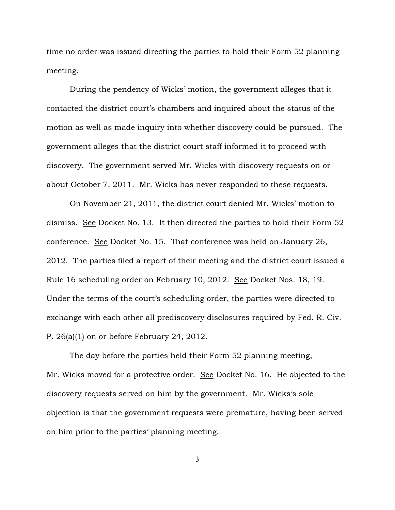time no order was issued directing the parties to hold their Form 52 planning meeting.

During the pendency of Wicks' motion, the government alleges that it contacted the district court's chambers and inquired about the status of the motion as well as made inquiry into whether discovery could be pursued. The government alleges that the district court staff informed it to proceed with discovery. The government served Mr. Wicks with discovery requests on or about October 7, 2011. Mr. Wicks has never responded to these requests.

On November 21, 2011, the district court denied Mr. Wicks' motion to dismiss. See Docket No. 13. It then directed the parties to hold their Form 52 conference. See Docket No. 15. That conference was held on January 26, 2012. The parties filed a report of their meeting and the district court issued a Rule 16 scheduling order on February 10, 2012. See Docket Nos. 18, 19. Under the terms of the court's scheduling order, the parties were directed to exchange with each other all prediscovery disclosures required by Fed. R. Civ. P. 26(a)(1) on or before February 24, 2012.

The day before the parties held their Form 52 planning meeting, Mr. Wicks moved for a protective order. See Docket No. 16. He objected to the discovery requests served on him by the government. Mr. Wicks's sole objection is that the government requests were premature, having been served on him prior to the parties' planning meeting.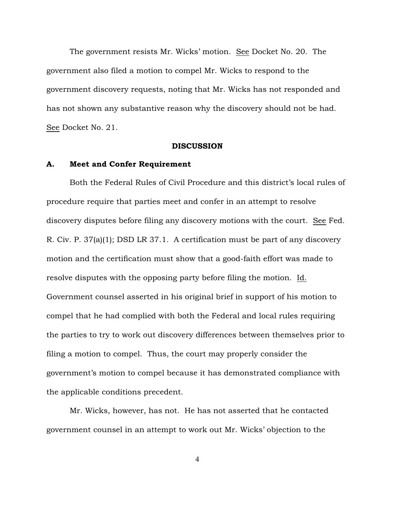The government resists Mr. Wicks' motion. See Docket No. 20. The government also filed a motion to compel Mr. Wicks to respond to the government discovery requests, noting that Mr. Wicks has not responded and has not shown any substantive reason why the discovery should not be had. See Docket No. 21.

#### **DISCUSSION**

# A. Meet and Confer Requirement

Both the Federal Rules of Civil Procedure and this district's local rules of procedure require that parties meet and confer in an attempt to resolve discovery disputes before filing any discovery motions with the court. See Fed. R. Civ. P. 37(a)(1); DSD LR 37.1. A certification must be part of any discovery motion and the certification must show that a good-faith effort was made to resolve disputes with the opposing party before filing the motion. Id. Government counsel asserted in his original brief in support of his motion to compel that he had complied with both the Federal and local rules requiring the parties to try to work out discovery differences between themselves prior to filing a motion to compel. Thus, the court may properly consider the government's motion to compel because it has demonstrated compliance with the applicable conditions precedent.

Mr. Wicks, however, has not. He has not asserted that he contacted government counsel in an attempt to work out Mr. Wicks' objection to the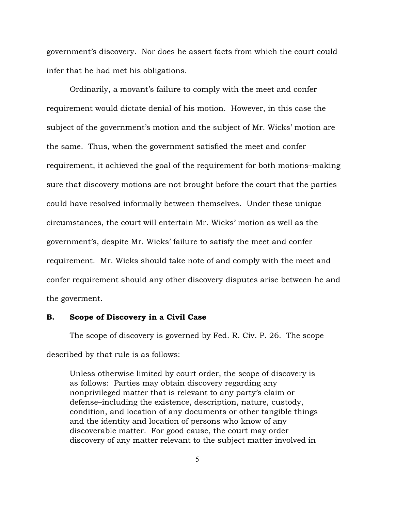government's discovery. Nor does he assert facts from which the court could infer that he had met his obligations.

Ordinarily, a movant's failure to comply with the meet and confer requirement would dictate denial of his motion. However, in this case the subject of the government's motion and the subject of Mr. Wicks' motion are the same. Thus, when the government satisfied the meet and confer requirement, it achieved the goal of the requirement for both motions–making sure that discovery motions are not brought before the court that the parties could have resolved informally between themselves. Under these unique circumstances, the court will entertain Mr. Wicks' motion as well as the government's, despite Mr. Wicks' failure to satisfy the meet and confer requirement. Mr. Wicks should take note of and comply with the meet and confer requirement should any other discovery disputes arise between he and the goverment.

# B. Scope of Discovery in a Civil Case

The scope of discovery is governed by Fed. R. Civ. P. 26. The scope described by that rule is as follows:

Unless otherwise limited by court order, the scope of discovery is as follows: Parties may obtain discovery regarding any nonprivileged matter that is relevant to any party's claim or defense–including the existence, description, nature, custody, condition, and location of any documents or other tangible things and the identity and location of persons who know of any discoverable matter. For good cause, the court may order discovery of any matter relevant to the subject matter involved in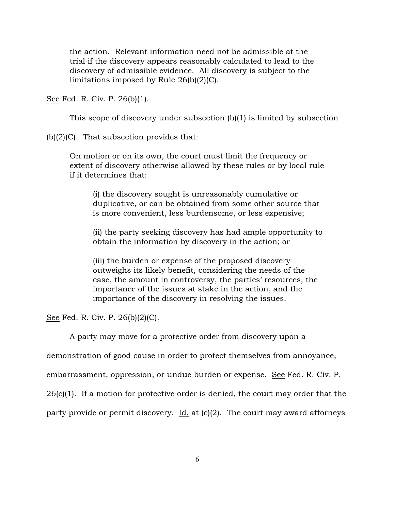the action. Relevant information need not be admissible at the trial if the discovery appears reasonably calculated to lead to the discovery of admissible evidence. All discovery is subject to the limitations imposed by Rule 26(b)(2)(C).

See Fed. R. Civ. P. 26(b)(1).

This scope of discovery under subsection (b)(1) is limited by subsection

(b)(2)(C). That subsection provides that:

On motion or on its own, the court must limit the frequency or extent of discovery otherwise allowed by these rules or by local rule if it determines that:

(i) the discovery sought is unreasonably cumulative or duplicative, or can be obtained from some other source that is more convenient, less burdensome, or less expensive;

(ii) the party seeking discovery has had ample opportunity to obtain the information by discovery in the action; or

(iii) the burden or expense of the proposed discovery outweighs its likely benefit, considering the needs of the case, the amount in controversy, the parties' resources, the importance of the issues at stake in the action, and the importance of the discovery in resolving the issues.

See Fed. R. Civ. P. 26(b)(2)(C).

A party may move for a protective order from discovery upon a

demonstration of good cause in order to protect themselves from annoyance,

embarrassment, oppression, or undue burden or expense. See Fed. R. Civ. P.

26(c)(1). If a motion for protective order is denied, the court may order that the

party provide or permit discovery. Id. at (c)(2). The court may award attorneys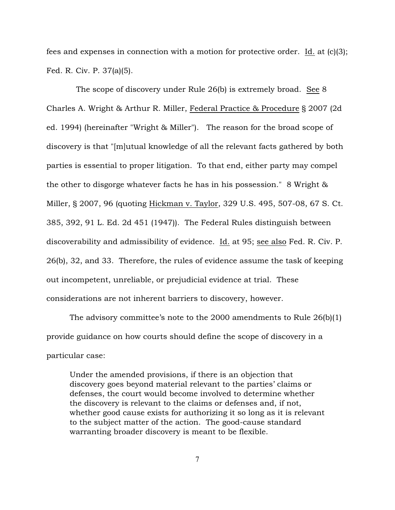fees and expenses in connection with a motion for protective order. Id. at (c)(3); Fed. R. Civ. P. 37(a)(5).

 The scope of discovery under Rule 26(b) is extremely broad. See 8 Charles A. Wright & Arthur R. Miller, Federal Practice & Procedure § 2007 (2d ed. 1994) (hereinafter "Wright & Miller"). The reason for the broad scope of discovery is that "[m]utual knowledge of all the relevant facts gathered by both parties is essential to proper litigation. To that end, either party may compel the other to disgorge whatever facts he has in his possession." 8 Wright & Miller, § 2007, 96 (quoting Hickman v. Taylor, 329 U.S. 495, 507-08, 67 S. Ct. 385, 392, 91 L. Ed. 2d 451 (1947)). The Federal Rules distinguish between discoverability and admissibility of evidence. Id. at 95; see also Fed. R. Civ. P. 26(b), 32, and 33. Therefore, the rules of evidence assume the task of keeping out incompetent, unreliable, or prejudicial evidence at trial. These considerations are not inherent barriers to discovery, however.

The advisory committee's note to the 2000 amendments to Rule  $26(b)(1)$ provide guidance on how courts should define the scope of discovery in a particular case:

Under the amended provisions, if there is an objection that discovery goes beyond material relevant to the parties' claims or defenses, the court would become involved to determine whether the discovery is relevant to the claims or defenses and, if not, whether good cause exists for authorizing it so long as it is relevant to the subject matter of the action. The good-cause standard warranting broader discovery is meant to be flexible.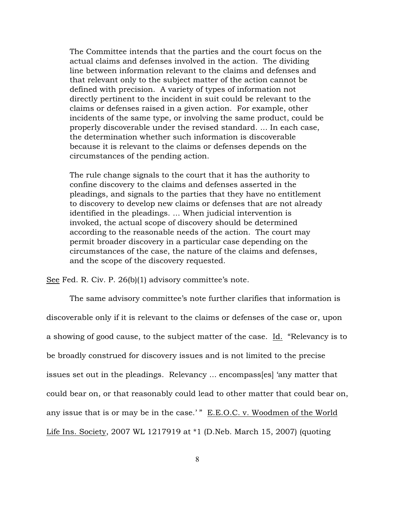The Committee intends that the parties and the court focus on the actual claims and defenses involved in the action. The dividing line between information relevant to the claims and defenses and that relevant only to the subject matter of the action cannot be defined with precision. A variety of types of information not directly pertinent to the incident in suit could be relevant to the claims or defenses raised in a given action. For example, other incidents of the same type, or involving the same product, could be properly discoverable under the revised standard. ... In each case, the determination whether such information is discoverable because it is relevant to the claims or defenses depends on the circumstances of the pending action.

The rule change signals to the court that it has the authority to confine discovery to the claims and defenses asserted in the pleadings, and signals to the parties that they have no entitlement to discovery to develop new claims or defenses that are not already identified in the pleadings. ... When judicial intervention is invoked, the actual scope of discovery should be determined according to the reasonable needs of the action. The court may permit broader discovery in a particular case depending on the circumstances of the case, the nature of the claims and defenses, and the scope of the discovery requested.

See Fed. R. Civ. P. 26(b)(1) advisory committee's note.

The same advisory committee's note further clarifies that information is discoverable only if it is relevant to the claims or defenses of the case or, upon a showing of good cause, to the subject matter of the case. Id. "Relevancy is to be broadly construed for discovery issues and is not limited to the precise issues set out in the pleadings. Relevancy ... encompass[es] 'any matter that could bear on, or that reasonably could lead to other matter that could bear on, any issue that is or may be in the case.' " E.E.O.C. v. Woodmen of the World Life Ins. Society, 2007 WL 1217919 at \*1 (D.Neb. March 15, 2007) (quoting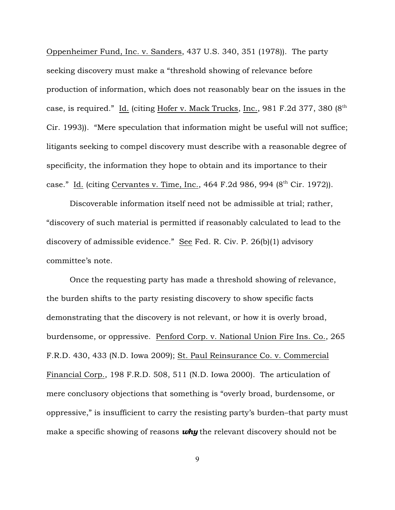Oppenheimer Fund, Inc. v. Sanders, 437 U.S. 340, 351 (1978)). The party seeking discovery must make a "threshold showing of relevance before production of information, which does not reasonably bear on the issues in the case, is required." Id. (citing Hofer v. Mack Trucks, Inc., 981 F.2d 377, 380 (8<sup>th</sup>) Cir. 1993)). "Mere speculation that information might be useful will not suffice; litigants seeking to compel discovery must describe with a reasonable degree of specificity, the information they hope to obtain and its importance to their case." Id. (citing Cervantes v. Time, Inc.,  $464$  F.2d 986, 994 ( $8<sup>th</sup>$  Cir. 1972)).

Discoverable information itself need not be admissible at trial; rather, "discovery of such material is permitted if reasonably calculated to lead to the discovery of admissible evidence." See Fed. R. Civ. P. 26(b)(1) advisory committee's note.

Once the requesting party has made a threshold showing of relevance, the burden shifts to the party resisting discovery to show specific facts demonstrating that the discovery is not relevant, or how it is overly broad, burdensome, or oppressive. Penford Corp. v. National Union Fire Ins. Co., 265 F.R.D. 430, 433 (N.D. Iowa 2009); St. Paul Reinsurance Co. v. Commercial Financial Corp., 198 F.R.D. 508, 511 (N.D. Iowa 2000). The articulation of mere conclusory objections that something is "overly broad, burdensome, or oppressive," is insufficient to carry the resisting party's burden–that party must make a specific showing of reasons *why* the relevant discovery should not be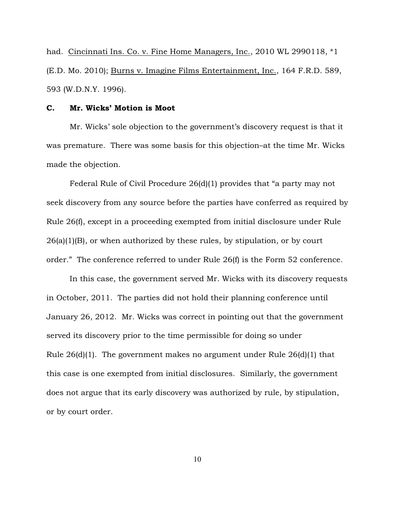had. Cincinnati Ins. Co. v. Fine Home Managers, Inc., 2010 WL 2990118, \*1 (E.D. Mo. 2010); Burns v. Imagine Films Entertainment, Inc., 164 F.R.D. 589, 593 (W.D.N.Y. 1996).

### C. Mr. Wicks' Motion is Moot

Mr. Wicks' sole objection to the government's discovery request is that it was premature. There was some basis for this objection–at the time Mr. Wicks made the objection.

Federal Rule of Civil Procedure 26(d)(1) provides that "a party may not seek discovery from any source before the parties have conferred as required by Rule 26(f), except in a proceeding exempted from initial disclosure under Rule 26(a)(1)(B), or when authorized by these rules, by stipulation, or by court order." The conference referred to under Rule 26(f) is the Form 52 conference.

In this case, the government served Mr. Wicks with its discovery requests in October, 2011. The parties did not hold their planning conference until January 26, 2012. Mr. Wicks was correct in pointing out that the government served its discovery prior to the time permissible for doing so under Rule 26(d)(1). The government makes no argument under Rule 26(d)(1) that this case is one exempted from initial disclosures. Similarly, the government does not argue that its early discovery was authorized by rule, by stipulation, or by court order.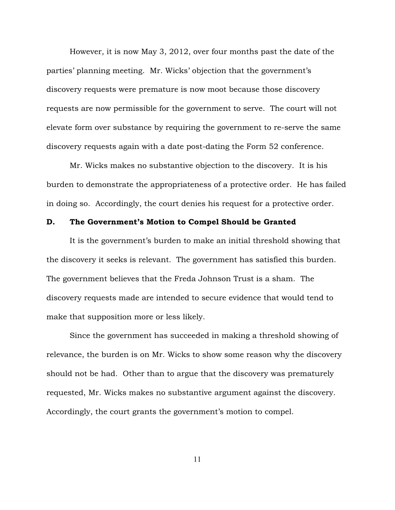However, it is now May 3, 2012, over four months past the date of the parties' planning meeting. Mr. Wicks' objection that the government's discovery requests were premature is now moot because those discovery requests are now permissible for the government to serve. The court will not elevate form over substance by requiring the government to re-serve the same discovery requests again with a date post-dating the Form 52 conference.

Mr. Wicks makes no substantive objection to the discovery. It is his burden to demonstrate the appropriateness of a protective order. He has failed in doing so. Accordingly, the court denies his request for a protective order.

#### D. The Government's Motion to Compel Should be Granted

It is the government's burden to make an initial threshold showing that the discovery it seeks is relevant. The government has satisfied this burden. The government believes that the Freda Johnson Trust is a sham. The discovery requests made are intended to secure evidence that would tend to make that supposition more or less likely.

Since the government has succeeded in making a threshold showing of relevance, the burden is on Mr. Wicks to show some reason why the discovery should not be had. Other than to argue that the discovery was prematurely requested, Mr. Wicks makes no substantive argument against the discovery. Accordingly, the court grants the government's motion to compel.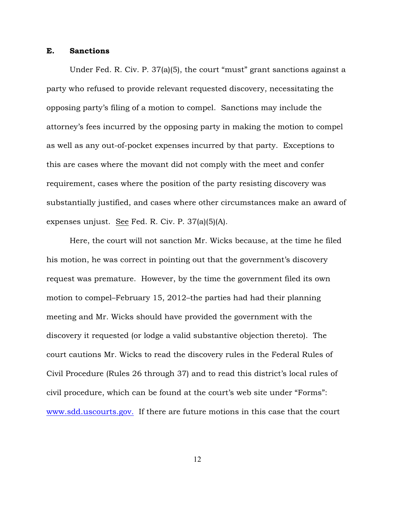# E. Sanctions

Under Fed. R. Civ. P. 37(a)(5), the court "must" grant sanctions against a party who refused to provide relevant requested discovery, necessitating the opposing party's filing of a motion to compel. Sanctions may include the attorney's fees incurred by the opposing party in making the motion to compel as well as any out-of-pocket expenses incurred by that party. Exceptions to this are cases where the movant did not comply with the meet and confer requirement, cases where the position of the party resisting discovery was substantially justified, and cases where other circumstances make an award of expenses unjust. See Fed. R. Civ. P. 37(a)(5)(A).

Here, the court will not sanction Mr. Wicks because, at the time he filed his motion, he was correct in pointing out that the government's discovery request was premature. However, by the time the government filed its own motion to compel–February 15, 2012–the parties had had their planning meeting and Mr. Wicks should have provided the government with the discovery it requested (or lodge a valid substantive objection thereto). The court cautions Mr. Wicks to read the discovery rules in the Federal Rules of Civil Procedure (Rules 26 through 37) and to read this district's local rules of civil procedure, which can be found at the court's web site under "Forms": [www.sdd.uscourts.gov.](http://www.sdd.uscourts.gov.) If there are future motions in this case that the court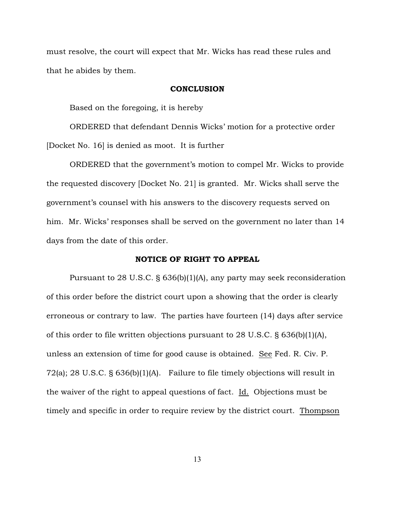must resolve, the court will expect that Mr. Wicks has read these rules and that he abides by them.

#### **CONCLUSION**

Based on the foregoing, it is hereby

ORDERED that defendant Dennis Wicks' motion for a protective order [Docket No. 16] is denied as moot. It is further

ORDERED that the government's motion to compel Mr. Wicks to provide the requested discovery [Docket No. 21] is granted. Mr. Wicks shall serve the government's counsel with his answers to the discovery requests served on him. Mr. Wicks' responses shall be served on the government no later than 14 days from the date of this order.

# NOTICE OF RIGHT TO APPEAL

Pursuant to 28 U.S.C. § 636(b)(1)(A), any party may seek reconsideration of this order before the district court upon a showing that the order is clearly erroneous or contrary to law. The parties have fourteen (14) days after service of this order to file written objections pursuant to 28 U.S.C. § 636(b)(1)(A), unless an extension of time for good cause is obtained. See Fed. R. Civ. P. 72(a); 28 U.S.C. § 636(b)(1)(A). Failure to file timely objections will result in the waiver of the right to appeal questions of fact. Id. Objections must be timely and specific in order to require review by the district court. Thompson